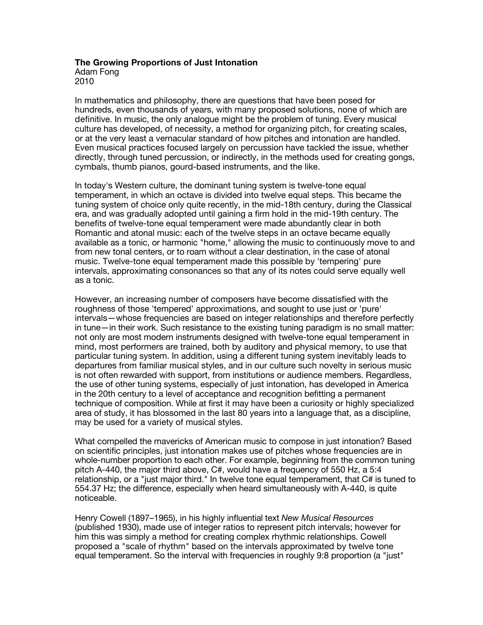# **The Growing Proportions of Just Intonation** Adam Fong

2010

In mathematics and philosophy, there are questions that have been posed for hundreds, even thousands of years, with many proposed solutions, none of which are definitive. In music, the only analogue might be the problem of tuning. Every musical culture has developed, of necessity, a method for organizing pitch, for creating scales, or at the very least a vernacular standard of how pitches and intonation are handled. Even musical practices focused largely on percussion have tackled the issue, whether directly, through tuned percussion, or indirectly, in the methods used for creating gongs, cymbals, thumb pianos, gourd-based instruments, and the like.

In today's Western culture, the dominant tuning system is twelve-tone equal temperament, in which an octave is divided into twelve equal steps. This became the tuning system of choice only quite recently, in the mid-18th century, during the Classical era, and was gradually adopted until gaining a firm hold in the mid-19th century. The benefits of twelve-tone equal temperament were made abundantly clear in both Romantic and atonal music: each of the twelve steps in an octave became equally available as a tonic, or harmonic "home," allowing the music to continuously move to and from new tonal centers, or to roam without a clear destination, in the case of atonal music. Twelve-tone equal temperament made this possible by 'tempering' pure intervals, approximating consonances so that any of its notes could serve equally well as a tonic.

However, an increasing number of composers have become dissatisfied with the roughness of those 'tempered' approximations, and sought to use just or 'pure' intervals—whose frequencies are based on integer relationships and therefore perfectly in tune—in their work. Such resistance to the existing tuning paradigm is no small matter: not only are most modern instruments designed with twelve-tone equal temperament in mind, most performers are trained, both by auditory and physical memory, to use that particular tuning system. In addition, using a different tuning system inevitably leads to departures from familiar musical styles, and in our culture such novelty in serious music is not often rewarded with support, from institutions or audience members. Regardless, the use of other tuning systems, especially of just intonation, has developed in America in the 20th century to a level of acceptance and recognition befitting a permanent technique of composition. While at first it may have been a curiosity or highly specialized area of study, it has blossomed in the last 80 years into a language that, as a discipline, may be used for a variety of musical styles.

What compelled the mavericks of American music to compose in just intonation? Based on scientific principles, just intonation makes use of pitches whose frequencies are in whole-number proportion to each other. For example, beginning from the common tuning pitch A-440, the major third above, C#, would have a frequency of 550 Hz, a 5:4 relationship, or a "just major third." In twelve tone equal temperament, that C# is tuned to 554.37 Hz; the difference, especially when heard simultaneously with A-440, is quite noticeable.

Henry Cowell (1897–1965), in his highly influential text *New Musical Resources*  (published 1930), made use of integer ratios to represent pitch intervals; however for him this was simply a method for creating complex rhythmic relationships. Cowell proposed a "scale of rhythm" based on the intervals approximated by twelve tone equal temperament. So the interval with frequencies in roughly 9:8 proportion (a "just"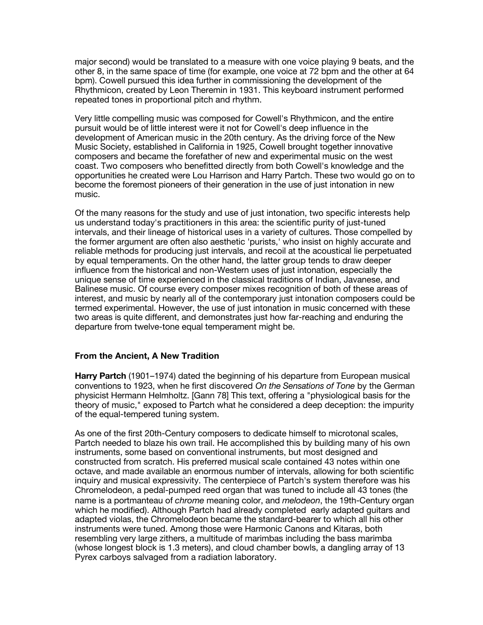major second) would be translated to a measure with one voice playing 9 beats, and the other 8, in the same space of time (for example, one voice at 72 bpm and the other at 64 bpm). Cowell pursued this idea further in commissioning the development of the Rhythmicon, created by Leon Theremin in 1931. This keyboard instrument performed repeated tones in proportional pitch and rhythm.

Very little compelling music was composed for Cowell's Rhythmicon, and the entire pursuit would be of little interest were it not for Cowell's deep influence in the development of American music in the 20th century. As the driving force of the New Music Society, established in California in 1925, Cowell brought together innovative composers and became the forefather of new and experimental music on the west coast. Two composers who benefitted directly from both Cowell's knowledge and the opportunities he created were Lou Harrison and Harry Partch. These two would go on to become the foremost pioneers of their generation in the use of just intonation in new music.

Of the many reasons for the study and use of just intonation, two specific interests help us understand today's practitioners in this area: the scientific purity of just-tuned intervals, and their lineage of historical uses in a variety of cultures. Those compelled by the former argument are often also aesthetic 'purists,' who insist on highly accurate and reliable methods for producing just intervals, and recoil at the acoustical lie perpetuated by equal temperaments. On the other hand, the latter group tends to draw deeper influence from the historical and non-Western uses of just intonation, especially the unique sense of time experienced in the classical traditions of Indian, Javanese, and Balinese music. Of course every composer mixes recognition of both of these areas of interest, and music by nearly all of the contemporary just intonation composers could be termed experimental. However, the use of just intonation in music concerned with these two areas is quite different, and demonstrates just how far-reaching and enduring the departure from twelve-tone equal temperament might be.

#### **From the Ancient, A New Tradition**

**Harry Partch** (1901–1974) dated the beginning of his departure from European musical conventions to 1923, when he first discovered *On the Sensations of Tone* by the German physicist Hermann Helmholtz. [Gann 78] This text, offering a "physiological basis for the theory of music," exposed to Partch what he considered a deep deception: the impurity of the equal-tempered tuning system.

As one of the first 20th-Century composers to dedicate himself to microtonal scales, Partch needed to blaze his own trail. He accomplished this by building many of his own instruments, some based on conventional instruments, but most designed and constructed from scratch. His preferred musical scale contained 43 notes within one octave, and made available an enormous number of intervals, allowing for both scientific inquiry and musical expressivity. The centerpiece of Partch's system therefore was his Chromelodeon, a pedal-pumped reed organ that was tuned to include all 43 tones (the name is a portmanteau of *chrome* meaning color, and *melodeon*, the 19th-Century organ which he modified). Although Partch had already completed early adapted guitars and adapted violas, the Chromelodeon became the standard-bearer to which all his other instruments were tuned. Among those were Harmonic Canons and Kitaras, both resembling very large zithers, a multitude of marimbas including the bass marimba (whose longest block is 1.3 meters), and cloud chamber bowls, a dangling array of 13 Pyrex carboys salvaged from a radiation laboratory.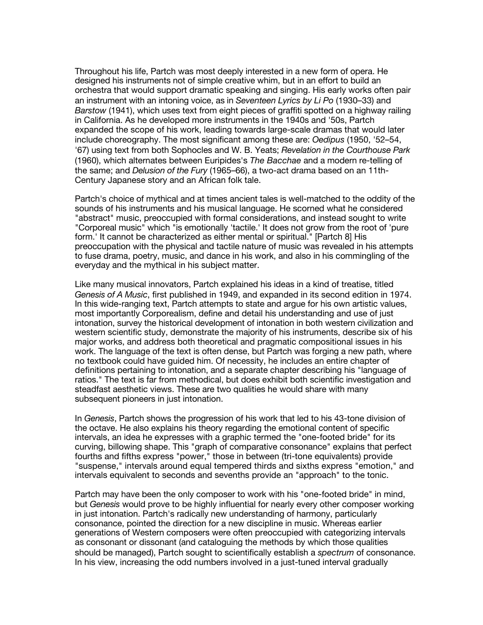Throughout his life, Partch was most deeply interested in a new form of opera. He designed his instruments not of simple creative whim, but in an effort to build an orchestra that would support dramatic speaking and singing. His early works often pair an instrument with an intoning voice, as in *Seventeen Lyrics by Li Po* (1930–33) and *Barstow* (1941), which uses text from eight pieces of graffiti spotted on a highway railing in California. As he developed more instruments in the 1940s and '50s, Partch expanded the scope of his work, leading towards large-scale dramas that would later include choreography. The most significant among these are: *Oedipus* (1950, '52–54, '67) using text from both Sophocles and W. B. Yeats; *Revelation in the Courthouse Park* (1960), which alternates between Euripides's *The Bacchae* and a modern re-telling of the same; and *Delusion of the Fury* (1965–66), a two-act drama based on an 11th-Century Japanese story and an African folk tale.

Partch's choice of mythical and at times ancient tales is well-matched to the oddity of the sounds of his instruments and his musical language. He scorned what he considered "abstract" music, preoccupied with formal considerations, and instead sought to write "Corporeal music" which "is emotionally 'tactile.' It does not grow from the root of 'pure form.' It cannot be characterized as either mental or spiritual." [Partch 8] His preoccupation with the physical and tactile nature of music was revealed in his attempts to fuse drama, poetry, music, and dance in his work, and also in his commingling of the everyday and the mythical in his subject matter.

Like many musical innovators, Partch explained his ideas in a kind of treatise, titled *Genesis of A Music*, first published in 1949, and expanded in its second edition in 1974. In this wide-ranging text, Partch attempts to state and argue for his own artistic values, most importantly Corporealism, define and detail his understanding and use of just intonation, survey the historical development of intonation in both western civilization and western scientific study, demonstrate the majority of his instruments, describe six of his major works, and address both theoretical and pragmatic compositional issues in his work. The language of the text is often dense, but Partch was forging a new path, where no textbook could have guided him. Of necessity, he includes an entire chapter of definitions pertaining to intonation, and a separate chapter describing his "language of ratios." The text is far from methodical, but does exhibit both scientific investigation and steadfast aesthetic views. These are two qualities he would share with many subsequent pioneers in just intonation.

In *Genesis*, Partch shows the progression of his work that led to his 43-tone division of the octave. He also explains his theory regarding the emotional content of specific intervals, an idea he expresses with a graphic termed the "one-footed bride" for its curving, billowing shape. This "graph of comparative consonance" explains that perfect fourths and fifths express "power," those in between (tri-tone equivalents) provide "suspense," intervals around equal tempered thirds and sixths express "emotion," and intervals equivalent to seconds and sevenths provide an "approach" to the tonic.

Partch may have been the only composer to work with his "one-footed bride" in mind, but *Genesis* would prove to be highly influential for nearly every other composer working in just intonation. Partch's radically new understanding of harmony, particularly consonance, pointed the direction for a new discipline in music. Whereas earlier generations of Western composers were often preoccupied with categorizing intervals as consonant or dissonant (and cataloguing the methods by which those qualities should be managed), Partch sought to scientifically establish a *spectrum* of consonance. In his view, increasing the odd numbers involved in a just-tuned interval gradually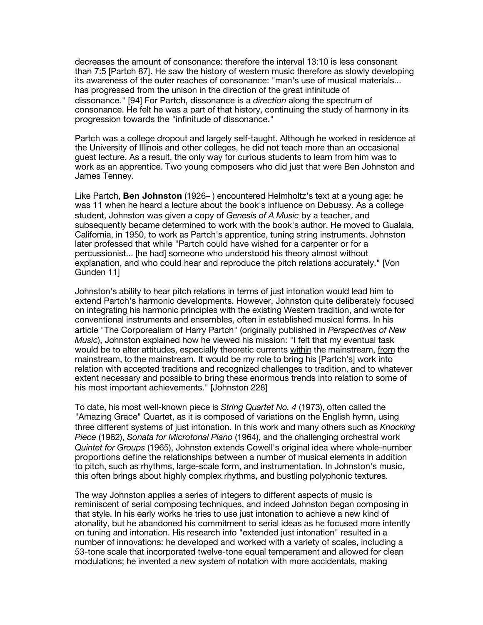decreases the amount of consonance: therefore the interval 13:10 is less consonant than 7:5 [Partch 87]. He saw the history of western music therefore as slowly developing its awareness of the outer reaches of consonance: "man's use of musical materials... has progressed from the unison in the direction of the great infinitude of dissonance." [94] For Partch, dissonance is a *direction* along the spectrum of consonance. He felt he was a part of that history, continuing the study of harmony in its progression towards the "infinitude of dissonance."

Partch was a college dropout and largely self-taught. Although he worked in residence at the University of Illinois and other colleges, he did not teach more than an occasional guest lecture. As a result, the only way for curious students to learn from him was to work as an apprentice. Two young composers who did just that were Ben Johnston and James Tenney.

Like Partch, **Ben Johnston** (1926– ) encountered Helmholtz's text at a young age: he was 11 when he heard a lecture about the book's influence on Debussy. As a college student, Johnston was given a copy of *Genesis of A Music* by a teacher, and subsequently became determined to work with the book's author. He moved to Gualala, California, in 1950, to work as Partch's apprentice, tuning string instruments. Johnston later professed that while "Partch could have wished for a carpenter or for a percussionist... [he had] someone who understood his theory almost without explanation, and who could hear and reproduce the pitch relations accurately." [Von Gunden 11]

Johnston's ability to hear pitch relations in terms of just intonation would lead him to extend Partch's harmonic developments. However, Johnston quite deliberately focused on integrating his harmonic principles with the existing Western tradition, and wrote for conventional instruments and ensembles, often in established musical forms. In his article "The Corporealism of Harry Partch" (originally published in *Perspectives of New Music*), Johnston explained how he viewed his mission: "I felt that my eventual task would be to alter attitudes, especially theoretic currents within the mainstream, from the mainstream, to the mainstream. It would be my role to bring his [Partch's] work into relation with accepted traditions and recognized challenges to tradition, and to whatever extent necessary and possible to bring these enormous trends into relation to some of his most important achievements." [Johnston 228]

To date, his most well-known piece is *String Quartet No. 4* (1973), often called the "Amazing Grace" Quartet, as it is composed of variations on the English hymn, using three different systems of just intonation. In this work and many others such as *Knocking Piece* (1962), *Sonata for Microtonal Piano* (1964), and the challenging orchestral work *Quintet for Groups* (1965), Johnston extends Cowell's original idea where whole-number proportions define the relationships between a number of musical elements in addition to pitch, such as rhythms, large-scale form, and instrumentation. In Johnston's music, this often brings about highly complex rhythms, and bustling polyphonic textures.

The way Johnston applies a series of integers to different aspects of music is reminiscent of serial composing techniques, and indeed Johnston began composing in that style. In his early works he tries to use just intonation to achieve a new kind of atonality, but he abandoned his commitment to serial ideas as he focused more intently on tuning and intonation. His research into "extended just intonation" resulted in a number of innovations: he developed and worked with a variety of scales, including a 53-tone scale that incorporated twelve-tone equal temperament and allowed for clean modulations; he invented a new system of notation with more accidentals, making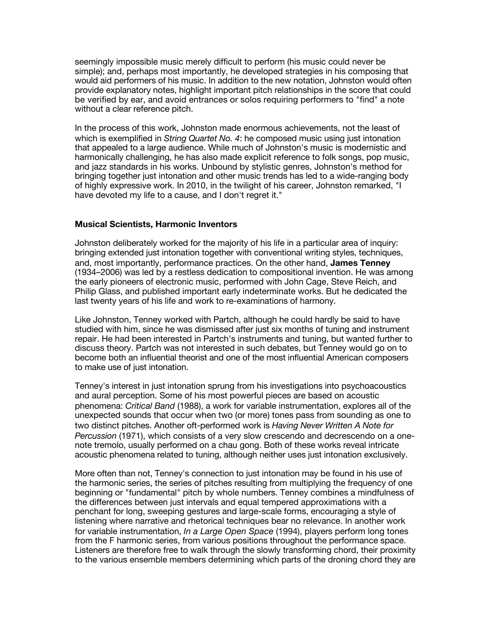seemingly impossible music merely difficult to perform (his music could never be simple); and, perhaps most importantly, he developed strategies in his composing that would aid performers of his music. In addition to the new notation, Johnston would often provide explanatory notes, highlight important pitch relationships in the score that could be verified by ear, and avoid entrances or solos requiring performers to "find" a note without a clear reference pitch.

In the process of this work, Johnston made enormous achievements, not the least of which is exemplified in *String Quartet No. 4*: he composed music using just intonation that appealed to a large audience. While much of Johnston's music is modernistic and harmonically challenging, he has also made explicit reference to folk songs, pop music, and jazz standards in his works. Unbound by stylistic genres, Johnston's method for bringing together just intonation and other music trends has led to a wide-ranging body of highly expressive work. In 2010, in the twilight of his career, Johnston remarked, "I have devoted my life to a cause, and I don't regret it."

### **Musical Scientists, Harmonic Inventors**

Johnston deliberately worked for the majority of his life in a particular area of inquiry: bringing extended just intonation together with conventional writing styles, techniques, and, most importantly, performance practices. On the other hand, **James Tenney** (1934–2006) was led by a restless dedication to compositional invention. He was among the early pioneers of electronic music, performed with John Cage, Steve Reich, and Philip Glass, and published important early indeterminate works. But he dedicated the last twenty years of his life and work to re-examinations of harmony.

Like Johnston, Tenney worked with Partch, although he could hardly be said to have studied with him, since he was dismissed after just six months of tuning and instrument repair. He had been interested in Partch's instruments and tuning, but wanted further to discuss theory. Partch was not interested in such debates, but Tenney would go on to become both an influential theorist and one of the most influential American composers to make use of just intonation.

Tenney's interest in just intonation sprung from his investigations into psychoacoustics and aural perception. Some of his most powerful pieces are based on acoustic phenomena: *Critical Band* (1988), a work for variable instrumentation, explores all of the unexpected sounds that occur when two (or more) tones pass from sounding as one to two distinct pitches. Another oft-performed work is *Having Never Written A Note for Percussion* (1971), which consists of a very slow crescendo and decrescendo on a onenote tremolo, usually performed on a chau gong. Both of these works reveal intricate acoustic phenomena related to tuning, although neither uses just intonation exclusively.

More often than not, Tenney's connection to just intonation may be found in his use of the harmonic series, the series of pitches resulting from multiplying the frequency of one beginning or "fundamental" pitch by whole numbers. Tenney combines a mindfulness of the differences between just intervals and equal tempered approximations with a penchant for long, sweeping gestures and large-scale forms, encouraging a style of listening where narrative and rhetorical techniques bear no relevance. In another work for variable instrumentation, *In a Large Open Space* (1994), players perform long tones from the F harmonic series, from various positions throughout the performance space. Listeners are therefore free to walk through the slowly transforming chord, their proximity to the various ensemble members determining which parts of the droning chord they are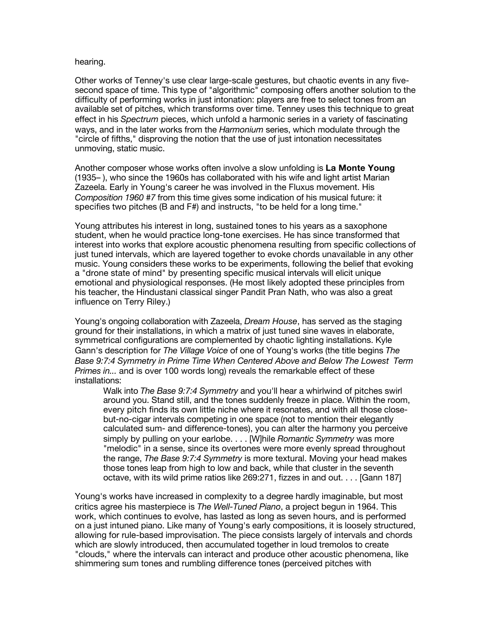#### hearing.

Other works of Tenney's use clear large-scale gestures, but chaotic events in any fivesecond space of time. This type of "algorithmic" composing offers another solution to the difficulty of performing works in just intonation: players are free to select tones from an available set of pitches, which transforms over time. Tenney uses this technique to great effect in his *Spectrum* pieces, which unfold a harmonic series in a variety of fascinating ways, and in the later works from the *Harmonium* series, which modulate through the "circle of fifths," disproving the notion that the use of just intonation necessitates unmoving, static music.

Another composer whose works often involve a slow unfolding is **La Monte Young** (1935– ), who since the 1960s has collaborated with his wife and light artist Marian Zazeela. Early in Young's career he was involved in the Fluxus movement. His *Composition 1960 #7* from this time gives some indication of his musical future: it specifies two pitches (B and F#) and instructs, "to be held for a long time."

Young attributes his interest in long, sustained tones to his years as a saxophone student, when he would practice long-tone exercises. He has since transformed that interest into works that explore acoustic phenomena resulting from specific collections of just tuned intervals, which are layered together to evoke chords unavailable in any other music. Young considers these works to be experiments, following the belief that evoking a "drone state of mind" by presenting specific musical intervals will elicit unique emotional and physiological responses. (He most likely adopted these principles from his teacher, the Hindustani classical singer Pandit Pran Nath, who was also a great influence on Terry Riley.)

Young's ongoing collaboration with Zazeela, *Dream House*, has served as the staging ground for their installations, in which a matrix of just tuned sine waves in elaborate, symmetrical configurations are complemented by chaotic lighting installations. Kyle Gann's description for *The Village Voice* of one of Young's works (the title begins *The Base 9:7:4 Symmetry in Prime Time When Centered Above and Below The Lowest Term Primes in...* and is over 100 words long) reveals the remarkable effect of these installations:

Walk into *The Base 9:7:4 Symmetry* and you'll hear a whirlwind of pitches swirl around you. Stand still, and the tones suddenly freeze in place. Within the room, every pitch finds its own little niche where it resonates, and with all those closebut-no-cigar intervals competing in one space (not to mention their elegantly calculated sum- and difference-tones), you can alter the harmony you perceive simply by pulling on your earlobe. . . . [W]hile *Romantic Symmetry* was more "melodic" in a sense, since its overtones were more evenly spread throughout the range, *The Base 9:7:4 Symmetry* is more textural. Moving your head makes those tones leap from high to low and back, while that cluster in the seventh octave, with its wild prime ratios like 269:271, fizzes in and out. . . . [Gann 187]

Young's works have increased in complexity to a degree hardly imaginable, but most critics agree his masterpiece is *The Well-Tuned Piano*, a project begun in 1964. This work, which continues to evolve, has lasted as long as seven hours, and is performed on a just intuned piano. Like many of Young's early compositions, it is loosely structured, allowing for rule-based improvisation. The piece consists largely of intervals and chords which are slowly introduced, then accumulated together in loud tremolos to create "clouds," where the intervals can interact and produce other acoustic phenomena, like shimmering sum tones and rumbling difference tones (perceived pitches with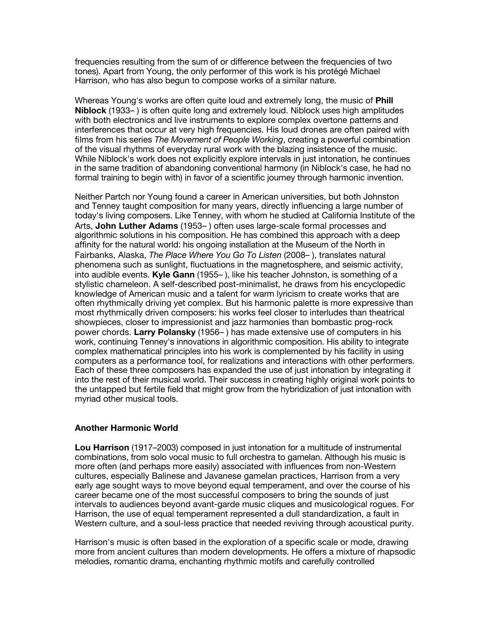frequencies resulting from the sum of or difference between the frequencies of two tones). Apart from Young, the only performer of this work is his protégé Michael Harrison, who has also begun to compose works of a similar nature.

Whereas Young's works are often quite loud and extremely long, the music of **Phill Niblock** (1933– ) is often quite long and extremely loud. Niblock uses high amplitudes with both electronics and live instruments to explore complex overtone patterns and interferences that occur at very high frequencies. His loud drones are often paired with films from his series *The Movement of People Working*, creating a powerful combination of the visual rhythms of everyday rural work with the blazing insistence of the music. While Niblock's work does not explicitly explore intervals in just intonation, he continues in the same tradition of abandoning conventional harmony (in Niblock's case, he had no formal training to begin with) in favor of a scientific journey through harmonic invention.

Neither Partch nor Young found a career in American universities, but both Johnston and Tenney taught composition for many years, directly influencing a large number of today's living composers. Like Tenney, with whom he studied at California Institute of the Arts, **John Luther Adams** (1953– ) often uses large-scale formal processes and algorithmic solutions in his composition. He has combined this approach with a deep affinity for the natural world: his ongoing installation at the Museum of the North in Fairbanks, Alaska, *The Place Where You Go To Listen* (2008– ), translates natural phenomena such as sunlight, fluctuations in the magnetosphere, and seismic activity, into audible events. **Kyle Gann** (1955– ), like his teacher Johnston, is something of a stylistic chameleon. A self-described post-minimalist, he draws from his encyclopedic knowledge of American music and a talent for warm lyricism to create works that are often rhythmically driving yet complex. But his harmonic palette is more expressive than most rhythmically driven composers: his works feel closer to interludes than theatrical showpieces, closer to impressionist and jazz harmonies than bombastic prog-rock power chords. **Larry Polansky** (1956– ) has made extensive use of computers in his work, continuing Tenney's innovations in algorithmic composition. His ability to integrate complex mathematical principles into his work is complemented by his facility in using computers as a performance tool, for realizations and interactions with other performers. Each of these three composers has expanded the use of just intonation by integrating it into the rest of their musical world. Their success in creating highly original work points to the untapped but fertile field that might grow from the hybridization of just intonation with myriad other musical tools.

## **Another Harmonic World**

**Lou Harrison** (1917–2003) composed in just intonation for a multitude of instrumental combinations, from solo vocal music to full orchestra to gamelan. Although his music is more often (and perhaps more easily) associated with influences from non-Western cultures, especially Balinese and Javanese gamelan practices, Harrison from a very early age sought ways to move beyond equal temperament, and over the course of his career became one of the most successful composers to bring the sounds of just intervals to audiences beyond avant-garde music cliques and musicological rogues. For Harrison, the use of equal temperament represented a dull standardization, a fault in Western culture, and a soul-less practice that needed reviving through acoustical purity.

Harrison's music is often based in the exploration of a specific scale or mode, drawing more from ancient cultures than modern developments. He offers a mixture of rhapsodic melodies, romantic drama, enchanting rhythmic motifs and carefully controlled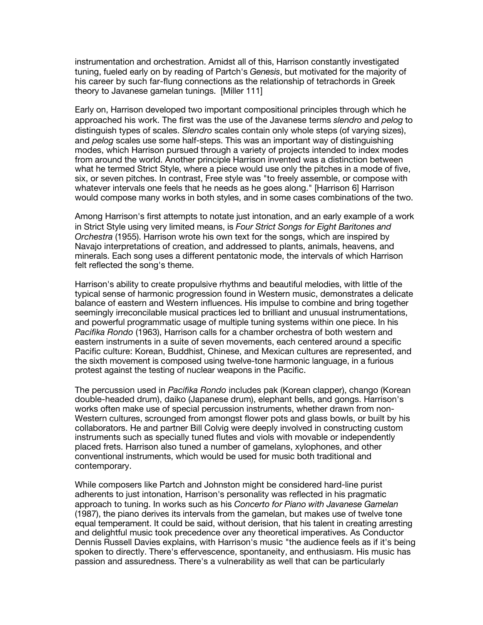instrumentation and orchestration. Amidst all of this, Harrison constantly investigated tuning, fueled early on by reading of Partch's *Genesis*, but motivated for the majority of his career by such far-flung connections as the relationship of tetrachords in Greek theory to Javanese gamelan tunings. [Miller 111]

Early on, Harrison developed two important compositional principles through which he approached his work. The first was the use of the Javanese terms *slendro* and *pelog* to distinguish types of scales. *Slendro* scales contain only whole steps (of varying sizes), and *pelog* scales use some half-steps. This was an important way of distinguishing modes, which Harrison pursued through a variety of projects intended to index modes from around the world. Another principle Harrison invented was a distinction between what he termed Strict Style, where a piece would use only the pitches in a mode of five, six, or seven pitches. In contrast, Free style was "to freely assemble, or compose with whatever intervals one feels that he needs as he goes along." [Harrison 6] Harrison would compose many works in both styles, and in some cases combinations of the two.

Among Harrison's first attempts to notate just intonation, and an early example of a work in Strict Style using very limited means, is *Four Strict Songs for Eight Baritones and Orchestra* (1955). Harrison wrote his own text for the songs, which are inspired by Navajo interpretations of creation, and addressed to plants, animals, heavens, and minerals. Each song uses a different pentatonic mode, the intervals of which Harrison felt reflected the song's theme.

Harrison's ability to create propulsive rhythms and beautiful melodies, with little of the typical sense of harmonic progression found in Western music, demonstrates a delicate balance of eastern and Western influences. His impulse to combine and bring together seemingly irreconcilable musical practices led to brilliant and unusual instrumentations, and powerful programmatic usage of multiple tuning systems within one piece. In his *Pacifika Rondo* (1963), Harrison calls for a chamber orchestra of both western and eastern instruments in a suite of seven movements, each centered around a specific Pacific culture: Korean, Buddhist, Chinese, and Mexican cultures are represented, and the sixth movement is composed using twelve-tone harmonic language, in a furious protest against the testing of nuclear weapons in the Pacific.

The percussion used in *Pacifika Rondo* includes pak (Korean clapper), chango (Korean double-headed drum), daiko (Japanese drum), elephant bells, and gongs. Harrison's works often make use of special percussion instruments, whether drawn from non-Western cultures, scrounged from amongst flower pots and glass bowls, or built by his collaborators. He and partner Bill Colvig were deeply involved in constructing custom instruments such as specially tuned flutes and viols with movable or independently placed frets. Harrison also tuned a number of gamelans, xylophones, and other conventional instruments, which would be used for music both traditional and contemporary.

While composers like Partch and Johnston might be considered hard-line purist adherents to just intonation, Harrison's personality was reflected in his pragmatic approach to tuning. In works such as his *Concerto for Piano with Javanese Gamelan* (1987), the piano derives its intervals from the gamelan, but makes use of twelve tone equal temperament. It could be said, without derision, that his talent in creating arresting and delightful music took precedence over any theoretical imperatives. As Conductor Dennis Russell Davies explains, with Harrison's music "the audience feels as if it's being spoken to directly. There's effervescence, spontaneity, and enthusiasm. His music has passion and assuredness. There's a vulnerability as well that can be particularly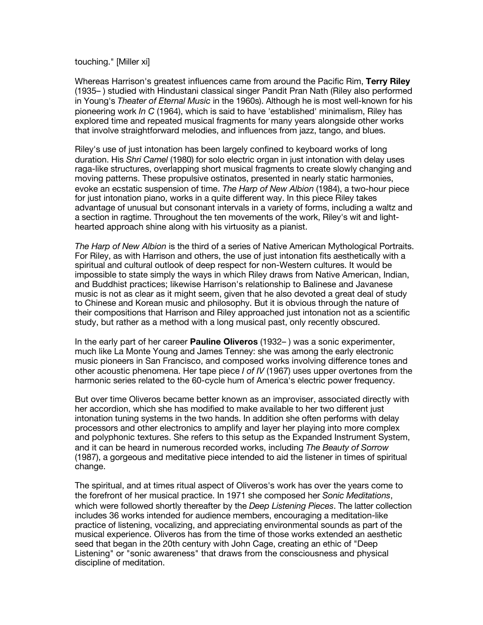#### touching." [Miller xi]

Whereas Harrison's greatest influences came from around the Pacific Rim, **Terry Riley** (1935– ) studied with Hindustani classical singer Pandit Pran Nath (Riley also performed in Young's *Theater of Eternal Music* in the 1960s). Although he is most well-known for his pioneering work *In C* (1964), which is said to have 'established' minimalism, Riley has explored time and repeated musical fragments for many years alongside other works that involve straightforward melodies, and influences from jazz, tango, and blues.

Riley's use of just intonation has been largely confined to keyboard works of long duration. His *Shri Camel* (1980) for solo electric organ in just intonation with delay uses raga-like structures, overlapping short musical fragments to create slowly changing and moving patterns. These propulsive ostinatos, presented in nearly static harmonies, evoke an ecstatic suspension of time. *The Harp of New Albion* (1984), a two-hour piece for just intonation piano, works in a quite different way. In this piece Riley takes advantage of unusual but consonant intervals in a variety of forms, including a waltz and a section in ragtime. Throughout the ten movements of the work, Riley's wit and lighthearted approach shine along with his virtuosity as a pianist.

*The Harp of New Albion* is the third of a series of Native American Mythological Portraits. For Riley, as with Harrison and others, the use of just intonation fits aesthetically with a spiritual and cultural outlook of deep respect for non-Western cultures. It would be impossible to state simply the ways in which Riley draws from Native American, Indian, and Buddhist practices; likewise Harrison's relationship to Balinese and Javanese music is not as clear as it might seem, given that he also devoted a great deal of study to Chinese and Korean music and philosophy. But it is obvious through the nature of their compositions that Harrison and Riley approached just intonation not as a scientific study, but rather as a method with a long musical past, only recently obscured.

In the early part of her career **Pauline Oliveros** (1932– ) was a sonic experimenter, much like La Monte Young and James Tenney: she was among the early electronic music pioneers in San Francisco, and composed works involving difference tones and other acoustic phenomena. Her tape piece *I of IV* (1967) uses upper overtones from the harmonic series related to the 60-cycle hum of America's electric power frequency.

But over time Oliveros became better known as an improviser, associated directly with her accordion, which she has modified to make available to her two different just intonation tuning systems in the two hands. In addition she often performs with delay processors and other electronics to amplify and layer her playing into more complex and polyphonic textures. She refers to this setup as the Expanded Instrument System, and it can be heard in numerous recorded works, including *The Beauty of Sorrow* (1987), a gorgeous and meditative piece intended to aid the listener in times of spiritual change.

The spiritual, and at times ritual aspect of Oliveros's work has over the years come to the forefront of her musical practice. In 1971 she composed her *Sonic Meditations*, which were followed shortly thereafter by the *Deep Listening Pieces*. The latter collection includes 36 works intended for audience members, encouraging a meditation-like practice of listening, vocalizing, and appreciating environmental sounds as part of the musical experience. Oliveros has from the time of those works extended an aesthetic seed that began in the 20th century with John Cage, creating an ethic of "Deep Listening" or "sonic awareness" that draws from the consciousness and physical discipline of meditation.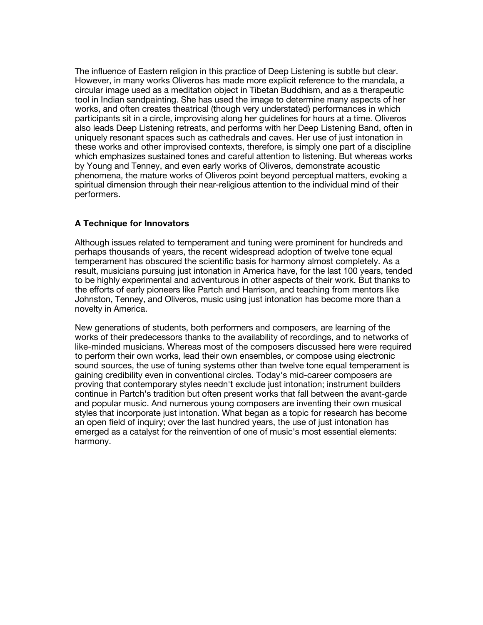The influence of Eastern religion in this practice of Deep Listening is subtle but clear. However, in many works Oliveros has made more explicit reference to the mandala, a circular image used as a meditation object in Tibetan Buddhism, and as a therapeutic tool in Indian sandpainting. She has used the image to determine many aspects of her works, and often creates theatrical (though very understated) performances in which participants sit in a circle, improvising along her guidelines for hours at a time. Oliveros also leads Deep Listening retreats, and performs with her Deep Listening Band, often in uniquely resonant spaces such as cathedrals and caves. Her use of just intonation in these works and other improvised contexts, therefore, is simply one part of a discipline which emphasizes sustained tones and careful attention to listening. But whereas works by Young and Tenney, and even early works of Oliveros, demonstrate acoustic phenomena, the mature works of Oliveros point beyond perceptual matters, evoking a spiritual dimension through their near-religious attention to the individual mind of their performers.

## **A Technique for Innovators**

Although issues related to temperament and tuning were prominent for hundreds and perhaps thousands of years, the recent widespread adoption of twelve tone equal temperament has obscured the scientific basis for harmony almost completely. As a result, musicians pursuing just intonation in America have, for the last 100 years, tended to be highly experimental and adventurous in other aspects of their work. But thanks to the efforts of early pioneers like Partch and Harrison, and teaching from mentors like Johnston, Tenney, and Oliveros, music using just intonation has become more than a novelty in America.

New generations of students, both performers and composers, are learning of the works of their predecessors thanks to the availability of recordings, and to networks of like-minded musicians. Whereas most of the composers discussed here were required to perform their own works, lead their own ensembles, or compose using electronic sound sources, the use of tuning systems other than twelve tone equal temperament is gaining credibility even in conventional circles. Today's mid-career composers are proving that contemporary styles needn't exclude just intonation; instrument builders continue in Partch's tradition but often present works that fall between the avant-garde and popular music. And numerous young composers are inventing their own musical styles that incorporate just intonation. What began as a topic for research has become an open field of inquiry; over the last hundred years, the use of just intonation has emerged as a catalyst for the reinvention of one of music's most essential elements: harmony.